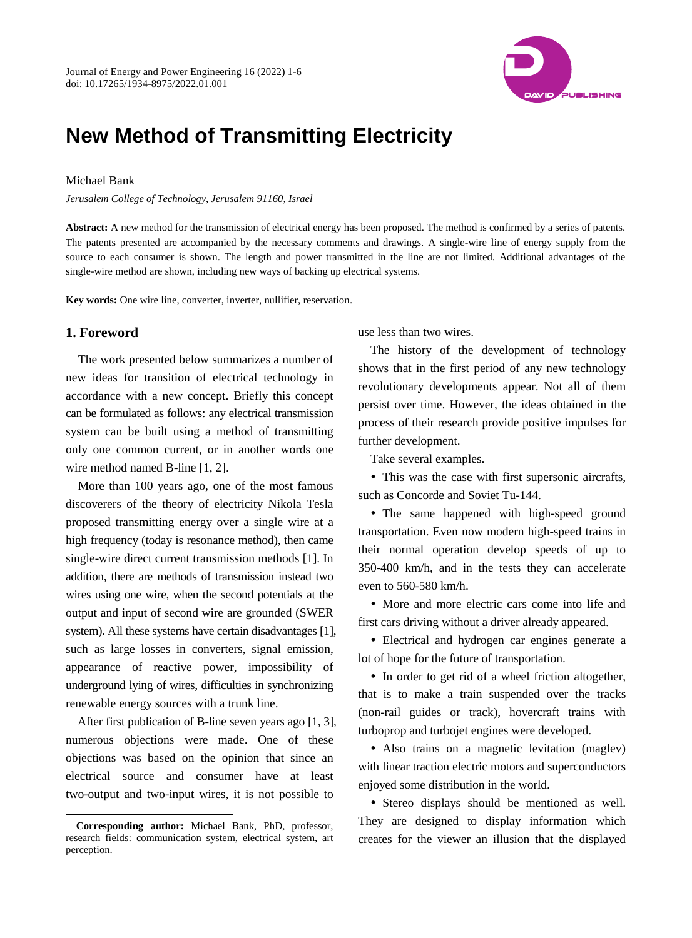

# **New Method of Transmitting Electricity**

#### Michael Bank

*Jerusalem College of Technology, Jerusalem 91160, Israel*

**Abstract:** A new method for the transmission of electrical energy has been proposed. The method is confirmed by a series of patents. The patents presented are accompanied by the necessary comments and drawings. A single-wire line of energy supply from the source to each consumer is shown. The length and power transmitted in the line are not limited. Additional advantages of the single-wire method are shown, including new ways of backing up electrical systems.

**Key words:** One wire line, converter, inverter, nullifier, reservation.

## **1. Foreword**

-

The work presented below summarizes a number of new ideas for transition of electrical technology in accordance with a new concept. Briefly this concept can be formulated as follows: any electrical transmission system can be built using a method of transmitting only one common current, or in another words one wire method named B-line [1, 2].

More than 100 years ago, one of the most famous discoverers of the theory of electricity Nikola Tesla proposed transmitting energy over a single wire at a high frequency (today is resonance method), then came single-wire direct current transmission methods [1]. In addition, there are methods of transmission instead two wires using one wire, when the second potentials at the output and input of second wire are grounded (SWER system). All these systems have certain disadvantages [1], such as large losses in converters, signal emission, appearance of reactive power, impossibility of underground lying of wires, difficulties in synchronizing renewable energy sources with a trunk line.

After first publication of B-line seven years ago [1, 3], numerous objections were made. One of these objections was based on the opinion that since an electrical source and consumer have at least two-output and two-input wires, it is not possible to

use less than two wires.

The history of the development of technology shows that in the first period of any new technology revolutionary developments appear. Not all of them persist over time. However, the ideas obtained in the process of their research provide positive impulses for further development.

Take several examples.

 This was the case with first supersonic aircrafts, such as Concorde and Soviet Tu-144.

• The same happened with high-speed ground transportation. Even now modern high-speed trains in their normal operation develop speeds of up to 350-400 km/h, and in the tests they can accelerate even to 560-580 km/h.

• More and more electric cars come into life and first cars driving without a driver already appeared.

 Electrical and hydrogen car engines generate a lot of hope for the future of transportation.

• In order to get rid of a wheel friction altogether, that is to make a train suspended over the tracks (non-rail guides or track), hovercraft trains with turboprop and turbojet engines were developed.

 Also trains on a magnetic levitation (maglev) with linear traction electric motors and superconductors enjoyed some distribution in the world.

 Stereo displays should be mentioned as well. They are designed to display information which creates for the viewer an illusion that the displayed

**Corresponding author:** Michael Bank, PhD, professor, research fields: communication system, electrical system, art perception.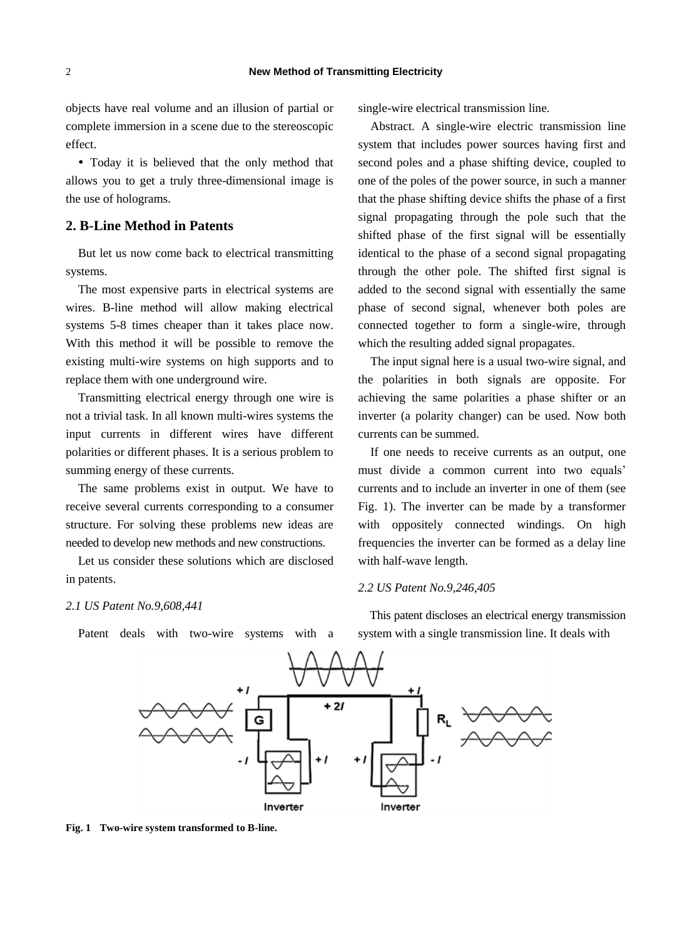objects have real volume and an illusion of partial or complete immersion in a scene due to the stereoscopic effect.

 Today it is believed that the only method that allows you to get a truly three-dimensional image is the use of holograms.

## **2. B-Line Method in Patents**

But let us now come back to electrical transmitting systems.

The most expensive parts in electrical systems are wires. B-line method will allow making electrical systems 5-8 times cheaper than it takes place now. With this method it will be possible to remove the existing multi-wire systems on high supports and to replace them with one underground wire.

Transmitting electrical energy through one wire is not a trivial task. In all known multi-wires systems the input currents in different wires have different polarities or different phases. It is a serious problem to summing energy of these currents.

The same problems exist in output. We have to receive several currents corresponding to a consumer structure. For solving these problems new ideas are needed to develop new methods and new constructions.

Let us consider these solutions which are disclosed in patents.

## *2.1 US Patent No.9,608,441*

Patent deals with two-wire systems with a

single-wire electrical transmission line.

Abstract. A single-wire electric transmission line system that includes power sources having first and second poles and a phase shifting device, coupled to one of the poles of the power source, in such a manner that the phase shifting device shifts the phase of a first signal propagating through the pole such that the shifted phase of the first signal will be essentially identical to the phase of a second signal propagating through the other pole. The shifted first signal is added to the second signal with essentially the same phase of second signal, whenever both poles are connected together to form a single-wire, through which the resulting added signal propagates.

The input signal here is a usual two-wire signal, and the polarities in both signals are opposite. For achieving the same polarities a phase shifter or an inverter (a polarity changer) can be used. Now both currents can be summed.

If one needs to receive currents as an output, one must divide a common current into two equals' currents and to include an inverter in one of them (see Fig. 1). The inverter can be made by a transformer with oppositely connected windings. On high frequencies the inverter can be formed as a delay line with half-wave length.

#### *2.2 US Patent No.9,246,405*

This patent discloses an electrical energy transmission system with a single transmission line. It deals with



**Fig. 1 Two-wire system transformed to B-line.**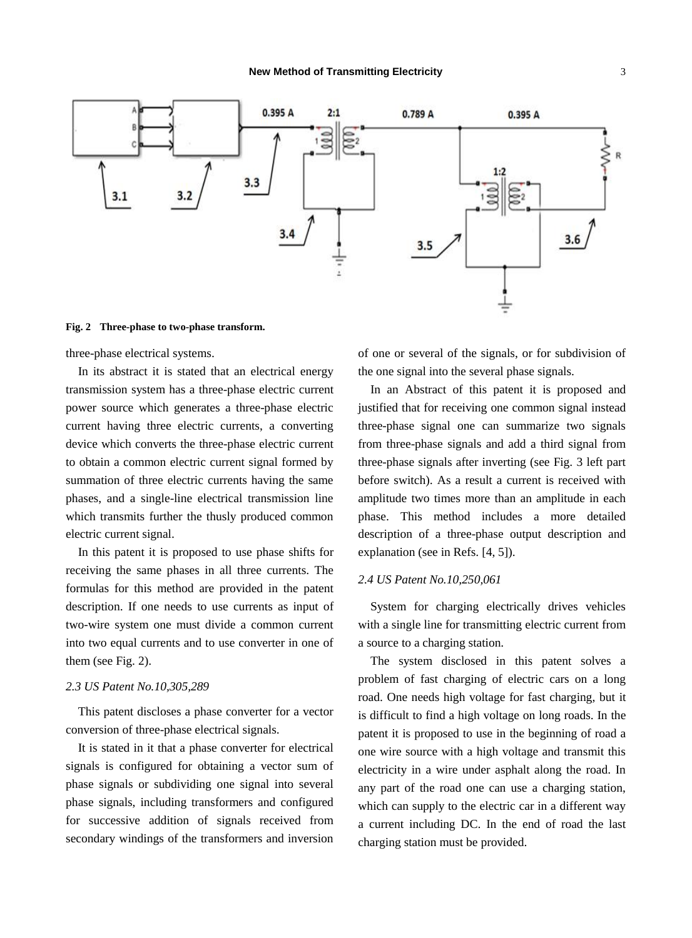

#### **Fig. 2 Three-phase to two-phase transform.**

three-phase electrical systems.

In its abstract it is stated that an electrical energy transmission system has a three-phase electric current power source which generates a three-phase electric current having three electric currents, a converting device which converts the three-phase electric current to obtain a common electric current signal formed by summation of three electric currents having the same phases, and a single-line electrical transmission line which transmits further the thusly produced common electric current signal.

In this patent it is proposed to use phase shifts for receiving the same phases in all three currents. The formulas for this method are provided in the patent description. If one needs to use currents as input of two-wire system one must divide a common current into two equal currents and to use converter in one of them (see Fig. 2).

#### *2.3 US Patent No.10,305,289*

This patent discloses a phase converter for a vector conversion of three-phase electrical signals.

It is stated in it that a phase converter for electrical signals is configured for obtaining a vector sum of phase signals or subdividing one signal into several phase signals, including transformers and configured for successive addition of signals received from secondary windings of the transformers and inversion of one or several of the signals, or for subdivision of the one signal into the several phase signals.

In an Abstract of this patent it is proposed and justified that for receiving one common signal instead three-phase signal one can summarize two signals from three-phase signals and add a third signal from three-phase signals after inverting (see Fig. 3 left part before switch). As a result a current is received with amplitude two times more than an amplitude in each phase. This method includes a more detailed description of a three-phase output description and explanation (see in Refs. [4, 5]).

#### *2.4 US Patent No.10,250,061*

System for charging electrically drives vehicles with a single line for transmitting electric current from a source to a charging station.

The system disclosed in this patent solves a problem of fast charging of electric cars on a long road. One needs high voltage for fast charging, but it is difficult to find a high voltage on long roads. In the patent it is proposed to use in the beginning of road a one wire source with a high voltage and transmit this electricity in a wire under asphalt along the road. In any part of the road one can use a charging station, which can supply to the electric car in a different way a current including DC. In the end of road the last charging station must be provided.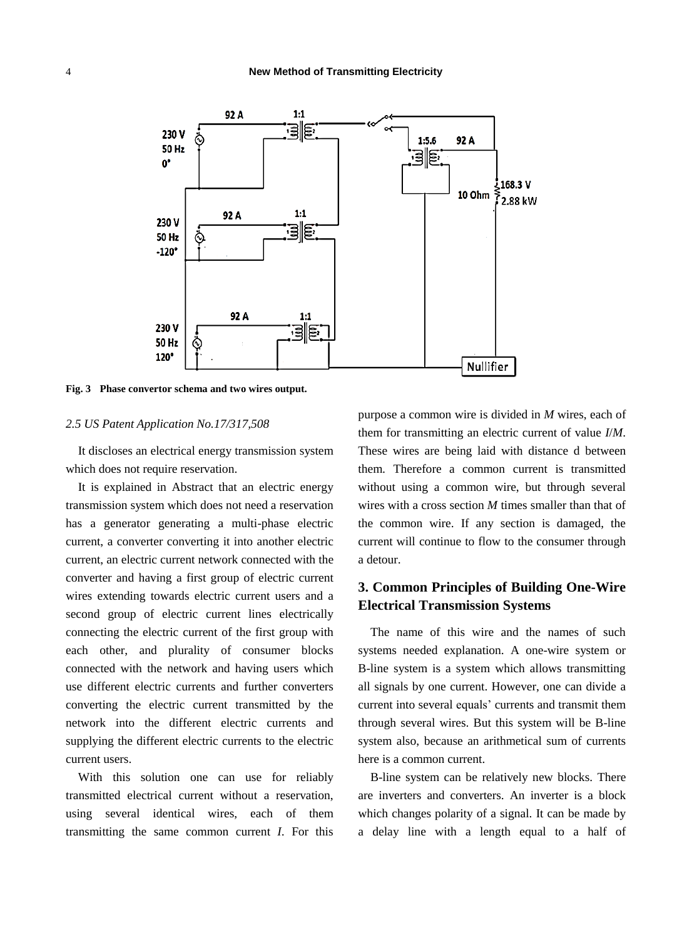

**Fig. 3 Phase convertor schema and two wires output.**

#### *2.5 US Patent Application No.17/317,508*

It discloses an electrical energy transmission system which does not require reservation.

It is explained in Abstract that an electric energy transmission system which does not need a reservation has a generator generating a multi-phase electric current, a converter converting it into another electric current, an electric current network connected with the converter and having a first group of electric current wires extending towards electric current users and a second group of electric current lines electrically connecting the electric current of the first group with each other, and plurality of consumer blocks connected with the network and having users which use different electric currents and further converters converting the electric current transmitted by the network into the different electric currents and supplying the different electric currents to the electric current users.

With this solution one can use for reliably transmitted electrical current without a reservation, using several identical wires, each of them transmitting the same common current *I*. For this purpose a common wire is divided in *M* wires, each of them for transmitting an electric current of value *I*/*M*. These wires are being laid with distance d between them. Therefore a common current is transmitted without using a common wire, but through several wires with a cross section *M* times smaller than that of the common wire. If any section is damaged, the current will continue to flow to the consumer through a detour.

# **3. Common Principles of Building One-Wire Electrical Transmission Systems**

The name of this wire and the names of such systems needed explanation. A one-wire system or B-line system is a system which allows transmitting all signals by one current. However, one can divide a current into several equals' currents and transmit them through several wires. But this system will be B-line system also, because an arithmetical sum of currents here is a common current.

B-line system can be relatively new blocks. There are inverters and converters. An inverter is a block which changes polarity of a signal. It can be made by a delay line with a length equal to a half of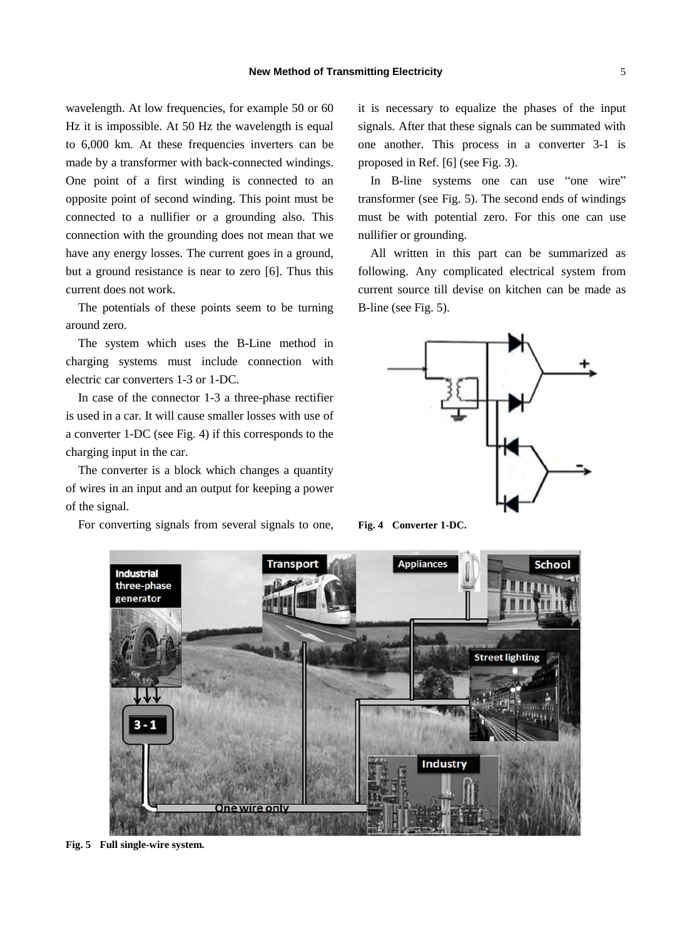wavelength. At low frequencies, for example 50 or 60 Hz it is impossible. At 50 Hz the wavelength is equal to 6,000 km. At these frequencies inverters can be made by a transformer with back-connected windings. One point of a first winding is connected to an opposite point of second winding. This point must be connected to a nullifier or a grounding also. This connection with the grounding does not mean that we have any energy losses. The current goes in a ground, but a ground resistance is near to zero [6]. Thus this current does not work.

The potentials of these points seem to be turning around zero.

The system which uses the B-Line method in charging systems must include connection with electric car converters 1-3 or 1-DC.

In case of the connector 1-3 a three-phase rectifier is used in a car. It will cause smaller losses with use of a converter 1-DC (see Fig. 4) if this corresponds to the charging input in the car.

The converter is a block which changes a quantity of wires in an input and an output for keeping a power of the signal.

For converting signals from several signals to one,

it is necessary to equalize the phases of the input signals. After that these signals can be summated with one another. This process in a converter 3-1 is proposed in Ref. [6] (see Fig. 3).

In B-line systems one can use "one wire" transformer (see Fig. 5). The second ends of windings must be with potential zero. For this one can use nullifier or grounding.

All written in this part can be summarized as following. Any complicated electrical system from current source till devise on kitchen can be made as B-line (see Fig. 5).







**Fig. 5 Full single-wire system.**